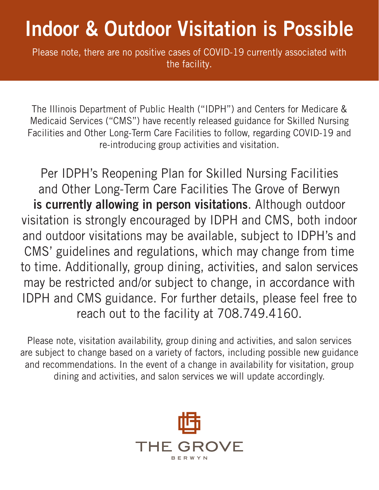## Indoor & Outdoor Visitation is Possible

Please note, there are no positive cases of COVID-19 currently associated with the facility.

The Illinois Department of Public Health ("IDPH") and Centers for Medicare & Medicaid Services ("CMS") have recently released guidance for Skilled Nursing Facilities and Other Long-Term Care Facilities to follow, regarding COVID-19 and re-introducing group activities and visitation.

Per IDPH's Reopening Plan for Skilled Nursing Facilities and Other Long-Term Care Facilities The Grove of Berwyn is currently allowing in person visitations. Although outdoor visitation is strongly encouraged by IDPH and CMS, both indoor and outdoor visitations may be available, subject to IDPH's and CMS' guidelines and regulations, which may change from time to time. Additionally, group dining, activities, and salon services may be restricted and/or subject to change, in accordance with IDPH and CMS guidance. For further details, please feel free to reach out to the facility at 708.749.4160.

Please note, visitation availability, group dining and activities, and salon services are subject to change based on a variety of factors, including possible new guidance and recommendations. In the event of a change in availability for visitation, group dining and activities, and salon services we will update accordingly.